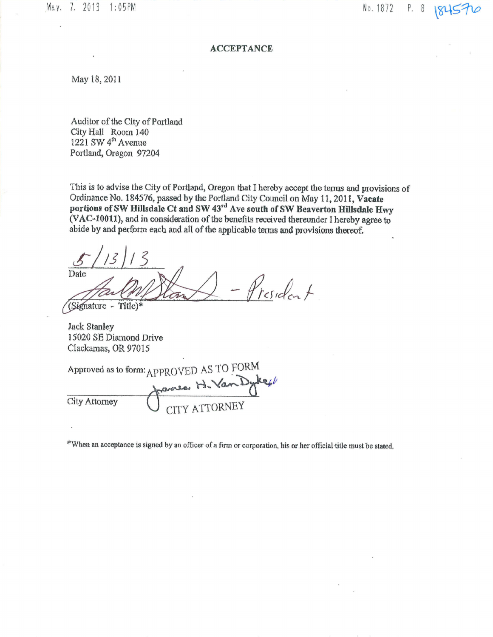May. 7. 2013 1:05PM

No. 1872 P. 8

## **ACCEPTANCE**

May 18, 2011

Auditor of the City of Portland City Hall Room 140 1221 SW 4<sup>th</sup> Avenue Portland, Oregon 97204

This is to advise the City of Portland, Oregon that I hereby accept the terms and provisions of Ordinance No. 184576, passed by the Portland City Council on May 11, 2011, Vacate portions of SW Hillsdale Ct and SW 43rd Ave south of SW Beaverton Hillsdale Hwy (VAC-10011), and in consideration of the benefits received thereunder I hereby agree to abide by and perform each and all of the applicable terms and provisions thereof.

Date President.

(Signature - Title)\*

**Jack Stanley** 15020 SE Diamond Drive Clackamas, OR 97015

Approved as to form: APPROVED AS TO FORM frances H. Van Dykes **City Attorney** 

\*When an acceptance is signed by an officer of a firm or corporation, his or her official title must be stated.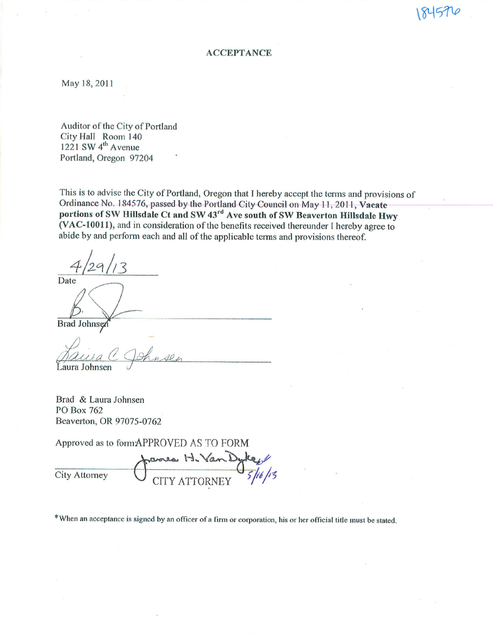## **ACCEPTANCE**

May 18, 2011

Auditor of the City of Portland City Hall Room 140 1221 SW 4<sup>th</sup> Avenue Portland, Oregon 97204

This is to advise the City of Portland, Oregon that I hereby accept the terms and provisions of Ordinance No. 184576, passed by the Portland City Council on May 11, 2011, Vacate portions of SW Hillsdale Ct and SW 43<sup>rd</sup> Ave south of SW Beaverton Hillsdale Hwy (VAC-10011), and in consideration of the benefits received thereunder I hereby agree to abide by and perform each and all of the applicable terms and provisions thereof.

Date

**Brad Johnsen** 

aura Johnsen

Brad & Laura Johnsen PO Box 762 Beaverton, OR 97075-0762

Approved as to formAPPROVED AS TO FORM

mea H. Va **City Attorney CITY ATTORNEY** 

\*When an acceptance is signed by an officer of a firm or corporation, his or her official title must be stated.